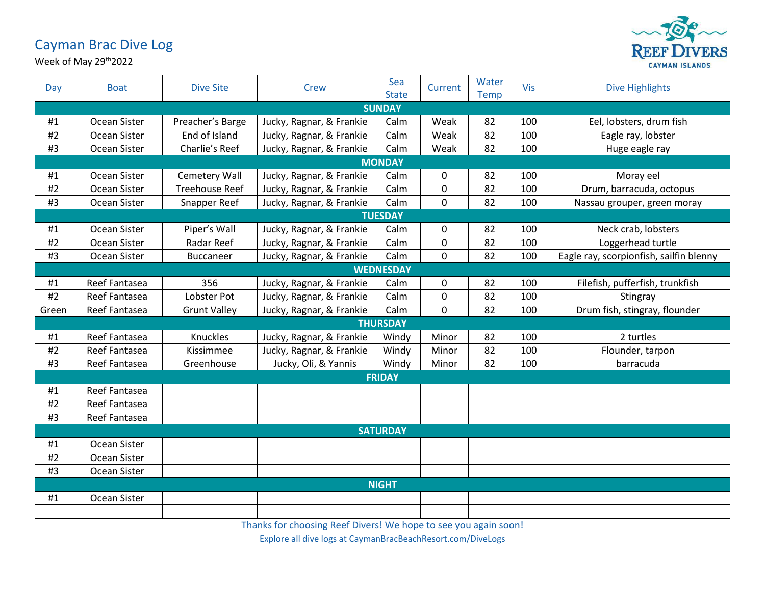## Cayman Brac Dive Log



Week of May 29th2022

| Day             | <b>Boat</b>    | <b>Dive Site</b>      | Crew                     | Sea<br><b>State</b> | Current | Water<br>Temp | Vis | <b>Dive Highlights</b>                  |  |  |
|-----------------|----------------|-----------------------|--------------------------|---------------------|---------|---------------|-----|-----------------------------------------|--|--|
| <b>SUNDAY</b>   |                |                       |                          |                     |         |               |     |                                         |  |  |
| #1              | Ocean Sister   | Preacher's Barge      | Jucky, Ragnar, & Frankie | Calm                | Weak    | 82            | 100 | Eel, lobsters, drum fish                |  |  |
| #2              | Ocean Sister   | End of Island         | Jucky, Ragnar, & Frankie | Calm                | Weak    | 82            | 100 | Eagle ray, lobster                      |  |  |
| #3              | Ocean Sister   | Charlie's Reef        | Jucky, Ragnar, & Frankie | Calm                | Weak    | 82            | 100 | Huge eagle ray                          |  |  |
| <b>MONDAY</b>   |                |                       |                          |                     |         |               |     |                                         |  |  |
| #1              | Ocean Sister   | Cemetery Wall         | Jucky, Ragnar, & Frankie | Calm                | 0       | 82            | 100 | Moray eel                               |  |  |
| #2              | Ocean Sister   | <b>Treehouse Reef</b> | Jucky, Ragnar, & Frankie | Calm                | 0       | 82            | 100 | Drum, barracuda, octopus                |  |  |
| #3              | Ocean Sister   | Snapper Reef          | Jucky, Ragnar, & Frankie | Calm                | 0       | 82            | 100 | Nassau grouper, green moray             |  |  |
|                 | <b>TUESDAY</b> |                       |                          |                     |         |               |     |                                         |  |  |
| #1              | Ocean Sister   | Piper's Wall          | Jucky, Ragnar, & Frankie | Calm                | 0       | 82            | 100 | Neck crab, lobsters                     |  |  |
| #2              | Ocean Sister   | <b>Radar Reef</b>     | Jucky, Ragnar, & Frankie | Calm                | 0       | 82            | 100 | Loggerhead turtle                       |  |  |
| #3              | Ocean Sister   | <b>Buccaneer</b>      | Jucky, Ragnar, & Frankie | Calm                | 0       | 82            | 100 | Eagle ray, scorpionfish, sailfin blenny |  |  |
|                 |                |                       |                          | <b>WEDNESDAY</b>    |         |               |     |                                         |  |  |
| #1              | Reef Fantasea  | 356                   | Jucky, Ragnar, & Frankie | Calm                | 0       | 82            | 100 | Filefish, pufferfish, trunkfish         |  |  |
| #2              | Reef Fantasea  | Lobster Pot           | Jucky, Ragnar, & Frankie | Calm                | 0       | 82            | 100 | Stingray                                |  |  |
| Green           | Reef Fantasea  | <b>Grunt Valley</b>   | Jucky, Ragnar, & Frankie | Calm                | 0       | 82            | 100 | Drum fish, stingray, flounder           |  |  |
|                 |                |                       |                          | <b>THURSDAY</b>     |         |               |     |                                         |  |  |
| #1              | Reef Fantasea  | Knuckles              | Jucky, Ragnar, & Frankie | Windy               | Minor   | 82            | 100 | 2 turtles                               |  |  |
| #2              | Reef Fantasea  | Kissimmee             | Jucky, Ragnar, & Frankie | Windy               | Minor   | 82            | 100 | Flounder, tarpon                        |  |  |
| #3              | Reef Fantasea  | Greenhouse            | Jucky, Oli, & Yannis     | Windy               | Minor   | 82            | 100 | barracuda                               |  |  |
|                 | <b>FRIDAY</b>  |                       |                          |                     |         |               |     |                                         |  |  |
| #1              | Reef Fantasea  |                       |                          |                     |         |               |     |                                         |  |  |
| #2              | Reef Fantasea  |                       |                          |                     |         |               |     |                                         |  |  |
| #3              | Reef Fantasea  |                       |                          |                     |         |               |     |                                         |  |  |
| <b>SATURDAY</b> |                |                       |                          |                     |         |               |     |                                         |  |  |
| #1              | Ocean Sister   |                       |                          |                     |         |               |     |                                         |  |  |
| #2              | Ocean Sister   |                       |                          |                     |         |               |     |                                         |  |  |
| #3              | Ocean Sister   |                       |                          |                     |         |               |     |                                         |  |  |
| <b>NIGHT</b>    |                |                       |                          |                     |         |               |     |                                         |  |  |
| #1              | Ocean Sister   |                       |                          |                     |         |               |     |                                         |  |  |
|                 |                |                       |                          |                     |         |               |     |                                         |  |  |

Thanks for choosing Reef Divers! We hope to see you again soon!

Explore all dive logs at CaymanBracBeachResort.com/DiveLogs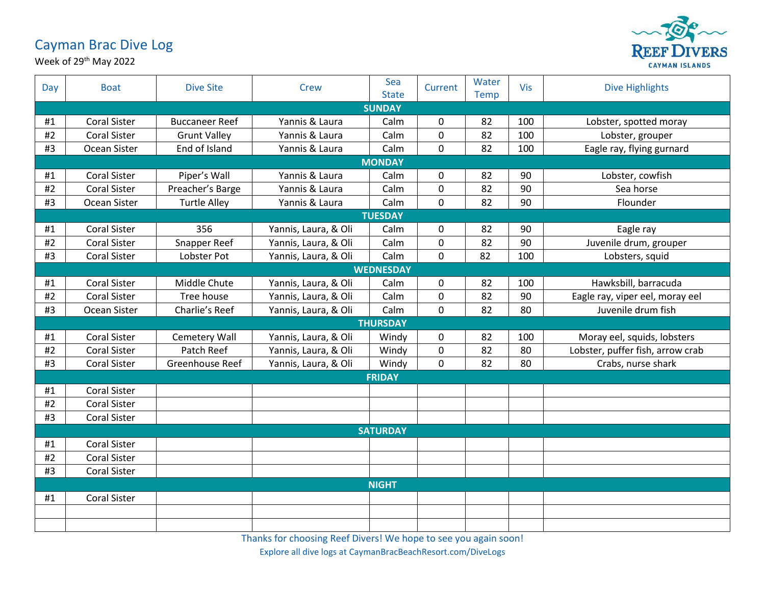## Cayman Brac Dive Log





| Day           | <b>Boat</b>         | <b>Dive Site</b>      | Crew                 | Sea<br><b>State</b> | Current        | Water<br>Temp | <b>Vis</b> | <b>Dive Highlights</b>           |  |  |
|---------------|---------------------|-----------------------|----------------------|---------------------|----------------|---------------|------------|----------------------------------|--|--|
|               |                     |                       |                      | <b>SUNDAY</b>       |                |               |            |                                  |  |  |
| #1            | <b>Coral Sister</b> | <b>Buccaneer Reef</b> | Yannis & Laura       | Calm                | $\mathbf 0$    | 82            | 100        | Lobster, spotted moray           |  |  |
| #2            | <b>Coral Sister</b> | <b>Grunt Valley</b>   | Yannis & Laura       | Calm                | $\mathbf 0$    | 82            | 100        | Lobster, grouper                 |  |  |
| #3            | Ocean Sister        | End of Island         | Yannis & Laura       | Calm                | $\mathbf 0$    | 82            | 100        | Eagle ray, flying gurnard        |  |  |
|               |                     |                       |                      | <b>MONDAY</b>       |                |               |            |                                  |  |  |
| #1            | <b>Coral Sister</b> | Piper's Wall          | Yannis & Laura       | Calm                | $\mathbf 0$    | 82            | 90         | Lobster, cowfish                 |  |  |
| #2            | <b>Coral Sister</b> | Preacher's Barge      | Yannis & Laura       | Calm                | $\mathbf 0$    | 82            | 90         | Sea horse                        |  |  |
| #3            | Ocean Sister        | <b>Turtle Alley</b>   | Yannis & Laura       | Calm                | $\mathbf 0$    | 82            | 90         | Flounder                         |  |  |
|               | <b>TUESDAY</b>      |                       |                      |                     |                |               |            |                                  |  |  |
| #1            | <b>Coral Sister</b> | 356                   | Yannis, Laura, & Oli | Calm                | $\mathbf 0$    | 82            | 90         | Eagle ray                        |  |  |
| #2            | <b>Coral Sister</b> | Snapper Reef          | Yannis, Laura, & Oli | Calm                | $\overline{0}$ | 82            | 90         | Juvenile drum, grouper           |  |  |
| #3            | <b>Coral Sister</b> | Lobster Pot           | Yannis, Laura, & Oli | Calm                | $\mathbf 0$    | 82            | 100        | Lobsters, squid                  |  |  |
|               |                     |                       |                      | <b>WEDNESDAY</b>    |                |               |            |                                  |  |  |
| #1            | <b>Coral Sister</b> | Middle Chute          | Yannis, Laura, & Oli | Calm                | 0              | 82            | 100        | Hawksbill, barracuda             |  |  |
| #2            | <b>Coral Sister</b> | Tree house            | Yannis, Laura, & Oli | Calm                | 0              | 82            | 90         | Eagle ray, viper eel, moray eel  |  |  |
| #3            | Ocean Sister        | Charlie's Reef        | Yannis, Laura, & Oli | Calm                | 0              | 82            | 80         | Juvenile drum fish               |  |  |
|               |                     |                       |                      | <b>THURSDAY</b>     |                |               |            |                                  |  |  |
| #1            | <b>Coral Sister</b> | Cemetery Wall         | Yannis, Laura, & Oli | Windy               | 0              | 82            | 100        | Moray eel, squids, lobsters      |  |  |
| #2            | <b>Coral Sister</b> | Patch Reef            | Yannis, Laura, & Oli | Windy               | 0              | 82            | 80         | Lobster, puffer fish, arrow crab |  |  |
| #3            | <b>Coral Sister</b> | Greenhouse Reef       | Yannis, Laura, & Oli | Windy               | $\mathbf 0$    | 82            | 80         | Crabs, nurse shark               |  |  |
| <b>FRIDAY</b> |                     |                       |                      |                     |                |               |            |                                  |  |  |
| #1            | <b>Coral Sister</b> |                       |                      |                     |                |               |            |                                  |  |  |
| #2            | <b>Coral Sister</b> |                       |                      |                     |                |               |            |                                  |  |  |
| #3            | <b>Coral Sister</b> |                       |                      |                     |                |               |            |                                  |  |  |
|               | <b>SATURDAY</b>     |                       |                      |                     |                |               |            |                                  |  |  |
| #1            | <b>Coral Sister</b> |                       |                      |                     |                |               |            |                                  |  |  |
| #2            | <b>Coral Sister</b> |                       |                      |                     |                |               |            |                                  |  |  |
| #3            | <b>Coral Sister</b> |                       |                      |                     |                |               |            |                                  |  |  |
| <b>NIGHT</b>  |                     |                       |                      |                     |                |               |            |                                  |  |  |
| #1            | <b>Coral Sister</b> |                       |                      |                     |                |               |            |                                  |  |  |
|               |                     |                       |                      |                     |                |               |            |                                  |  |  |
|               |                     |                       |                      |                     |                |               |            |                                  |  |  |

Thanks for choosing Reef Divers! We hope to see you again soon!

Explore all dive logs at CaymanBracBeachResort.com/DiveLogs